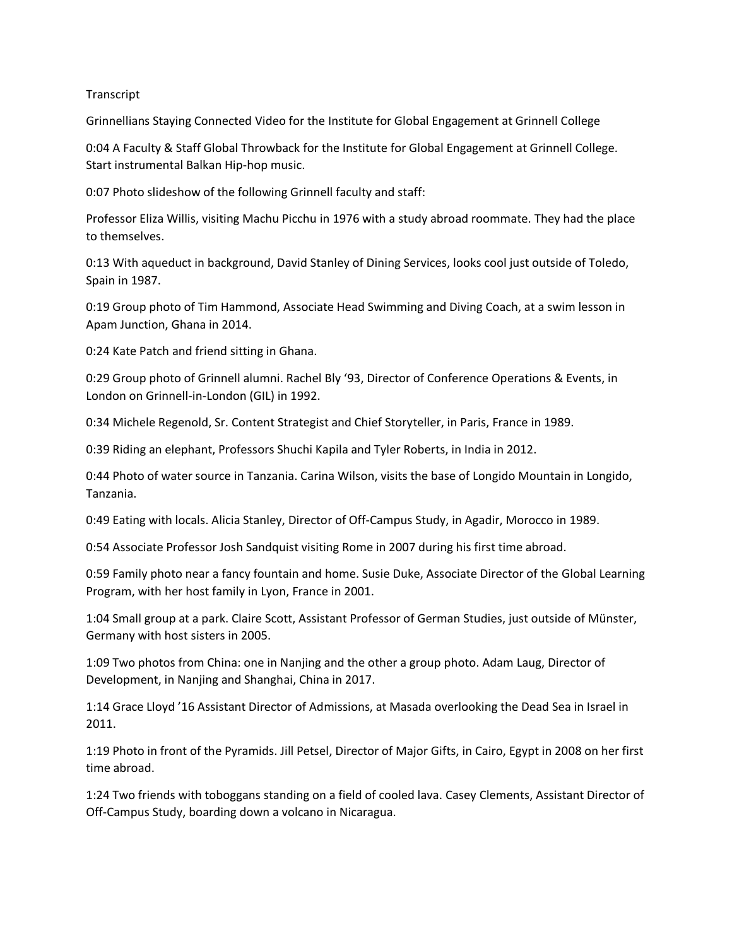## **Transcript**

Grinnellians Staying Connected Video for the Institute for Global Engagement at Grinnell College

0:04 A Faculty & Staff Global Throwback for the Institute for Global Engagement at Grinnell College. Start instrumental Balkan Hip-hop music.

0:07 Photo slideshow of the following Grinnell faculty and staff:

Professor Eliza Willis, visiting Machu Picchu in 1976 with a study abroad roommate. They had the place to themselves.

0:13 With aqueduct in background, David Stanley of Dining Services, looks cool just outside of Toledo, Spain in 1987.

0:19 Group photo of Tim Hammond, Associate Head Swimming and Diving Coach, at a swim lesson in Apam Junction, Ghana in 2014.

0:24 Kate Patch and friend sitting in Ghana.

0:29 Group photo of Grinnell alumni. Rachel Bly '93, Director of Conference Operations & Events, in London on Grinnell-in-London (GIL) in 1992.

0:34 Michele Regenold, Sr. Content Strategist and Chief Storyteller, in Paris, France in 1989.

0:39 Riding an elephant, Professors Shuchi Kapila and Tyler Roberts, in India in 2012.

0:44 Photo of water source in Tanzania. Carina Wilson, visits the base of Longido Mountain in Longido, Tanzania.

0:49 Eating with locals. Alicia Stanley, Director of Off-Campus Study, in Agadir, Morocco in 1989.

0:54 Associate Professor Josh Sandquist visiting Rome in 2007 during his first time abroad.

0:59 Family photo near a fancy fountain and home. Susie Duke, Associate Director of the Global Learning Program, with her host family in Lyon, France in 2001.

1:04 Small group at a park. Claire Scott, Assistant Professor of German Studies, just outside of Münster, Germany with host sisters in 2005.

1:09 Two photos from China: one in Nanjing and the other a group photo. Adam Laug, Director of Development, in Nanjing and Shanghai, China in 2017.

1:14 Grace Lloyd '16 Assistant Director of Admissions, at Masada overlooking the Dead Sea in Israel in 2011.

1:19 Photo in front of the Pyramids. Jill Petsel, Director of Major Gifts, in Cairo, Egypt in 2008 on her first time abroad.

1:24 Two friends with toboggans standing on a field of cooled lava. Casey Clements, Assistant Director of Off-Campus Study, boarding down a volcano in Nicaragua.